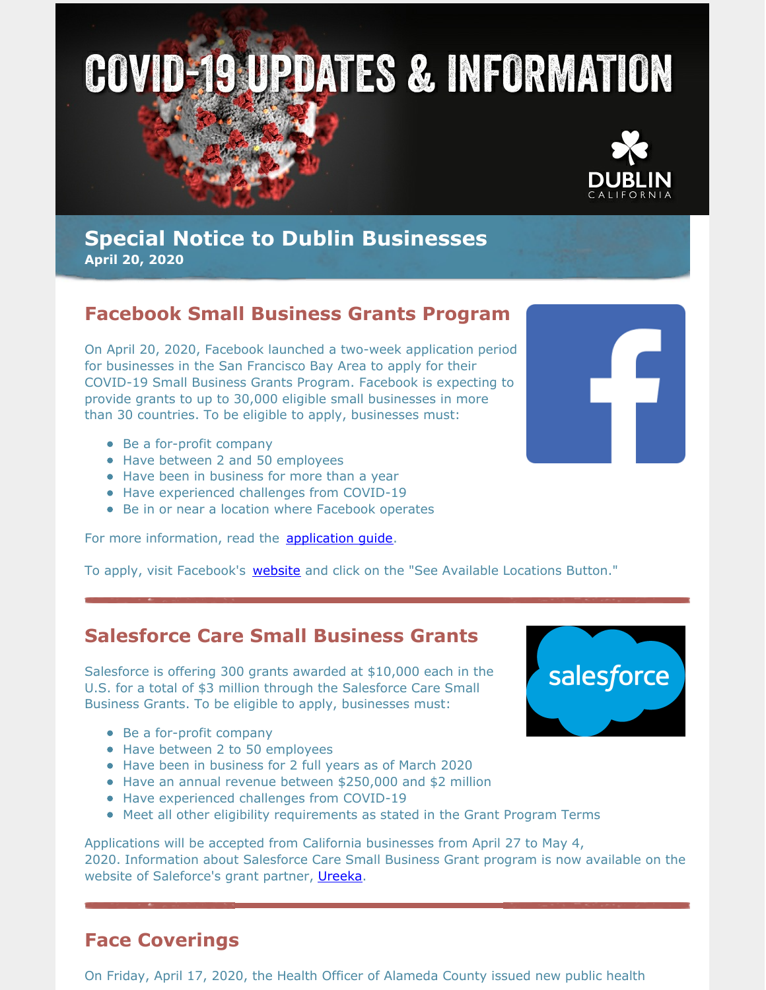



### **Special Notice to Dublin Businesses April 20, 2020**

# **Facebook Small Business Grants Program**

On April 20, 2020, Facebook launched a two-week application period for businesses in the San Francisco Bay Area to apply for their COVID-19 Small Business Grants Program. Facebook is expecting to provide grants to up to 30,000 eligible small businesses in more than 30 countries. To be eligible to apply, businesses must:

- Be a for-profit company
- Have between 2 and 50 employees
- Have been in business for more than a year
- Have experienced challenges from COVID-19
- Be in or near a location where Facebook operates

For more information, read the **[application](https://www.facebook.com/business/boost/grants/application-guide) quide**.

To apply, visit Facebook's **[website](https://www.facebook.com/business/boost/grants)** and click on the "See Available Locations Button."

### **Salesforce Care Small Business Grants**

Salesforce is offering 300 grants awarded at \$10,000 each in the U.S. for a total of \$3 million through the Salesforce Care Small Business Grants. To be eligible to apply, businesses must:

- Be a for-profit company
- Have between 2 to 50 employees
- Have been in business for 2 full years as of March 2020
- Have an annual revenue between \$250,000 and \$2 million
- Have experienced challenges from COVID-19
- Meet all other eligibility requirements as stated in the Grant Program Terms

Applications will be accepted from California businesses from April 27 to May 4, 2020. Information about Salesforce Care Small Business Grant program is now available on the website of Saleforce's grant partner, [Ureeka](https://grants.ureeka.biz/salesforce).

### **Face Coverings**

On Friday, April 17, 2020, the Health Officer of Alameda County issued new public health



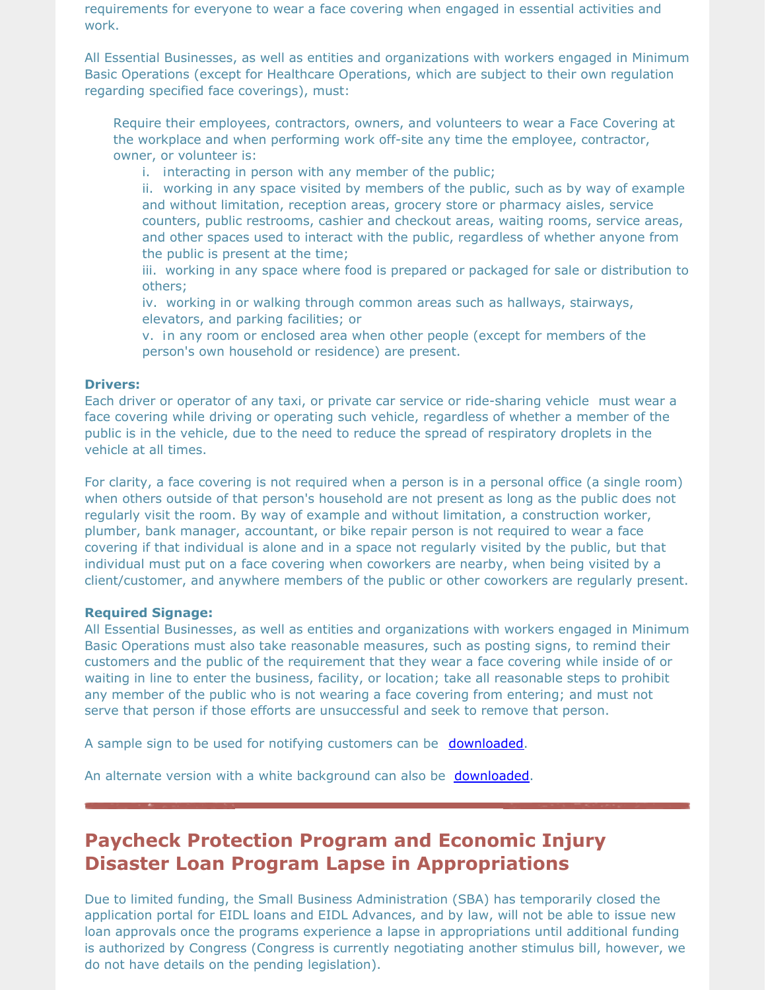requirements for everyone to wear a face covering when engaged in essential activities and work.

All Essential Businesses, as well as entities and organizations with workers engaged in Minimum Basic Operations (except for Healthcare Operations, which are subject to their own regulation regarding specified face coverings), must:

Require their employees, contractors, owners, and volunteers to wear a Face Covering at the workplace and when performing work off-site any time the employee, contractor, owner, or volunteer is:

i. interacting in person with any member of the public;

ii. working in any space visited by members of the public, such as by way of example and without limitation, reception areas, grocery store or pharmacy aisles, service counters, public restrooms, cashier and checkout areas, waiting rooms, service areas, and other spaces used to interact with the public, regardless of whether anyone from the public is present at the time;

iii. working in any space where food is prepared or packaged for sale or distribution to others;

iv. working in or walking through common areas such as hallways, stairways, elevators, and parking facilities; or

v. in any room or enclosed area when other people (except for members of the person's own household or residence) are present.

### **Drivers:**

Each driver or operator of any taxi, or private car service or ride-sharing vehicle must wear a face covering while driving or operating such vehicle, regardless of whether a member of the public is in the vehicle, due to the need to reduce the spread of respiratory droplets in the vehicle at all times.

For clarity, a face covering is not required when a person is in a personal office (a single room) when others outside of that person's household are not present as long as the public does not regularly visit the room. By way of example and without limitation, a construction worker, plumber, bank manager, accountant, or bike repair person is not required to wear a face covering if that individual is alone and in a space not regularly visited by the public, but that individual must put on a face covering when coworkers are nearby, when being visited by a client/customer, and anywhere members of the public or other coworkers are regularly present.

#### **Required Signage:**

All Essential Businesses, as well as entities and organizations with workers engaged in Minimum Basic Operations must also take reasonable measures, such as posting signs, to remind their customers and the public of the requirement that they wear a face covering while inside of or waiting in line to enter the business, facility, or location; take all reasonable steps to prohibit any member of the public who is not wearing a face covering from entering; and must not serve that person if those efforts are unsuccessful and seek to remove that person.

A sample sign to be used for notifying customers can be [downloaded](http://www.acphd.org/media/569800/business-flyer-covering-order-2020.04.20.pdf).

An alternate version with a white background can also be [downloaded](https://dublin.ca.gov/DocumentCenter/View/22216/business-flyer-covering-order-20200420-white-background?bidId=).

# **Paycheck Protection Program and Economic Injury Disaster Loan Program Lapse in Appropriations**

Due to limited funding, the Small Business Administration (SBA) has temporarily closed the application portal for EIDL loans and EIDL Advances, and by law, will not be able to issue new loan approvals once the programs experience a lapse in appropriations until additional funding is authorized by Congress (Congress is currently negotiating another stimulus bill, however, we do not have details on the pending legislation).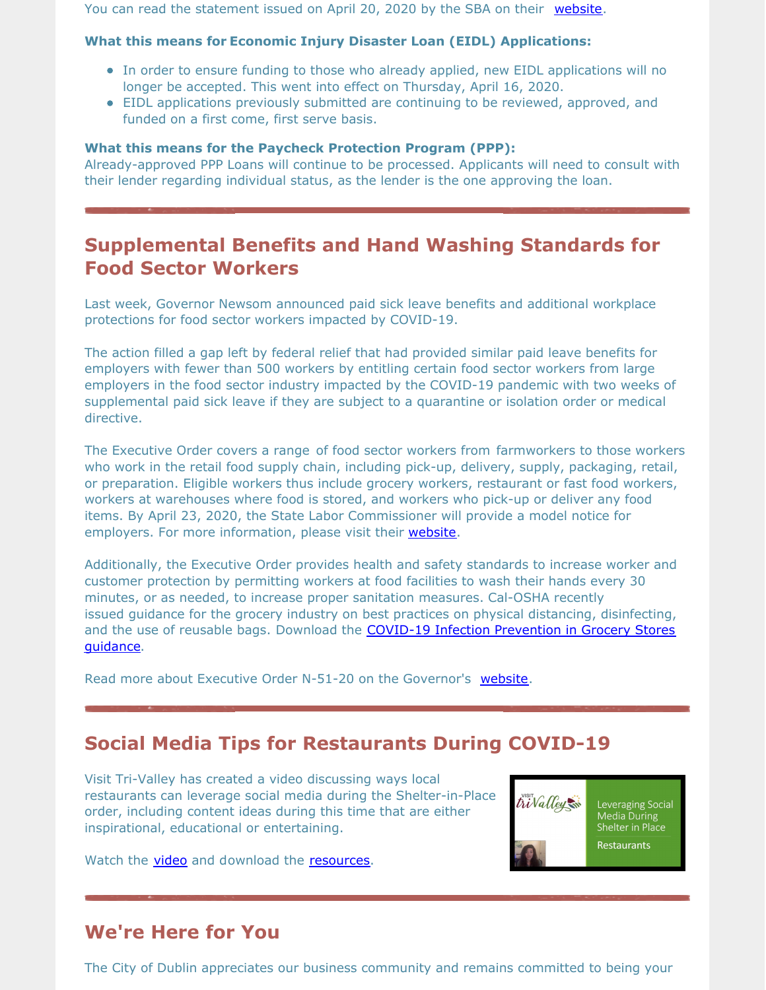You can read the statement issued on April 20, 2020 by the SBA on their [website](https://www.sba.gov/about-sba/sba-newsroom/press-releases-media-advisories/statement-secretary-mnuchin-and-administrator-carranza-paycheck-protection-program-and-economic).

### **What this means for Economic Injury Disaster Loan (EIDL) Applications:**

- In order to ensure funding to those who already applied, new EIDL applications will no longer be accepted. This went into effect on Thursday, April 16, 2020.
- EIDL applications previously submitted are continuing to be reviewed, approved, and funded on a first come, first serve basis.

#### **What this means for the Paycheck Protection Program (PPP):**

Already-approved PPP Loans will continue to be processed. Applicants will need to consult with their lender regarding individual status, as the lender is the one approving the loan.

## **Supplemental Benefits and Hand Washing Standards for Food Sector Workers**

Last week, Governor Newsom announced paid sick leave benefits and additional workplace protections for food sector workers impacted by COVID-19.

The action filled a gap left by federal relief that had provided similar paid leave benefits for employers with fewer than 500 workers by entitling certain food sector workers from large employers in the food sector industry impacted by the COVID-19 pandemic with two weeks of supplemental paid sick leave if they are subject to a quarantine or isolation order or medical directive.

The Executive Order covers a range of food sector workers from farmworkers to those workers who work in the retail food supply chain, including pick-up, delivery, supply, packaging, retail, or preparation. Eligible workers thus include grocery workers, restaurant or fast food workers, workers at warehouses where food is stored, and workers who pick-up or deliver any food items. By April 23, 2020, the State Labor Commissioner will provide a model notice for employers. For more information, please visit their [website.](https://www.dir.ca.gov/dlse/)

Additionally, the Executive Order provides health and safety standards to increase worker and customer protection by permitting workers at food facilities to wash their hands every 30 minutes, or as needed, to increase proper sanitation measures. Cal-OSHA recently issued guidance for the grocery industry on best practices on physical distancing, disinfecting, and the use of reusable bags. Download the **COVID-19 Infection [Prevention](https://www.dir.ca.gov/dosh/Coronavirus/COVID-19-Infection-Prevention-in-Grocery-Stores.pdf) in Grocery Stores** guidance.

Read more about Executive Order N-51-20 on the Governor's [website](https://www.gov.ca.gov/2020/04/16/governor-newsom-announces-paid-sick-leave-benefits-for-food-sector-workers-impacted-by-covid-19-additional-protections-for-consumers/).

### **Social Media Tips for Restaurants During COVID-19**

Visit Tri-Valley has created a video discussing ways local restaurants can leverage social media during the Shelter-in-Place order, including content ideas during this time that are either inspirational, educational or entertaining.

Watch the **[video](https://www.youtube.com/watch?v=vSgwW6luKBk)** and download the [resources](https://visittrivalley.com/wp-content/uploads/2020/04/Leveraging-Social-Media-During-Shelter-in-Place-Restaurant-Additional-Resources.pdf).



Leveraging Social Media During Shelter in Place

### **We're Here for You**

The City of Dublin appreciates our business community and remains committed to being your